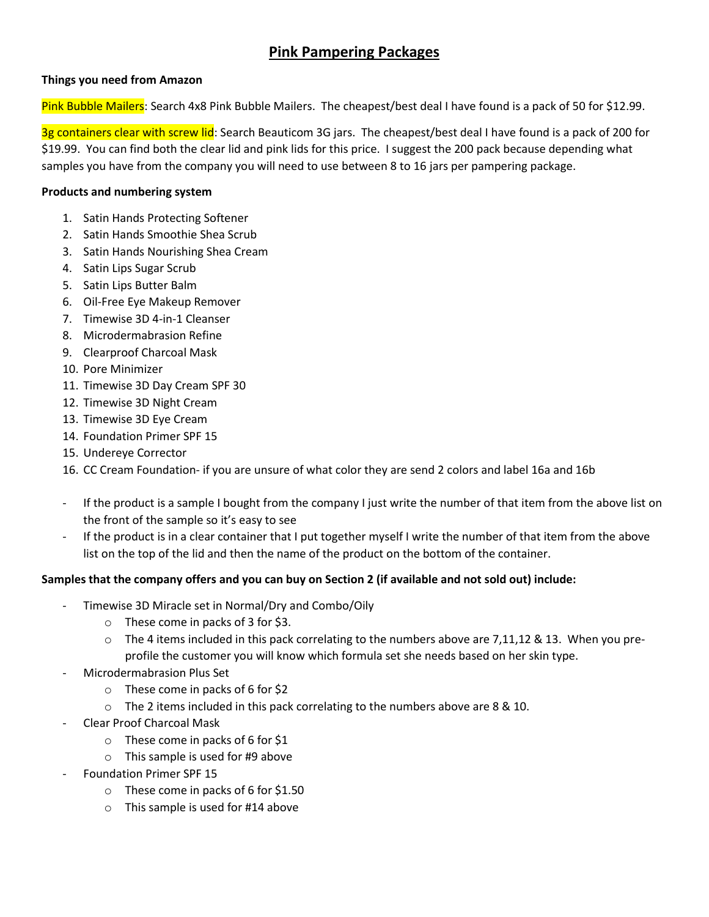# **Pink Pampering Packages**

# **Things you need from Amazon**

Pink Bubble Mailers: Search 4x8 Pink Bubble Mailers. The cheapest/best deal I have found is a pack of 50 for \$12.99.

3g containers clear with screw lid: Search Beauticom 3G jars. The cheapest/best deal I have found is a pack of 200 for \$19.99. You can find both the clear lid and pink lids for this price. I suggest the 200 pack because depending what samples you have from the company you will need to use between 8 to 16 jars per pampering package.

## **Products and numbering system**

- 1. Satin Hands Protecting Softener
- 2. Satin Hands Smoothie Shea Scrub
- 3. Satin Hands Nourishing Shea Cream
- 4. Satin Lips Sugar Scrub
- 5. Satin Lips Butter Balm
- 6. Oil-Free Eye Makeup Remover
- 7. Timewise 3D 4-in-1 Cleanser
- 8. Microdermabrasion Refine
- 9. Clearproof Charcoal Mask
- 10. Pore Minimizer
- 11. Timewise 3D Day Cream SPF 30
- 12. Timewise 3D Night Cream
- 13. Timewise 3D Eye Cream
- 14. Foundation Primer SPF 15
- 15. Undereye Corrector
- 16. CC Cream Foundation- if you are unsure of what color they are send 2 colors and label 16a and 16b
- If the product is a sample I bought from the company I just write the number of that item from the above list on the front of the sample so it's easy to see
- If the product is in a clear container that I put together myself I write the number of that item from the above list on the top of the lid and then the name of the product on the bottom of the container.

### **Samples that the company offers and you can buy on Section 2 (if available and not sold out) include:**

- Timewise 3D Miracle set in Normal/Dry and Combo/Oily
	- o These come in packs of 3 for \$3.
	- $\circ$  The 4 items included in this pack correlating to the numbers above are 7,11,12 & 13. When you preprofile the customer you will know which formula set she needs based on her skin type.
- Microdermabrasion Plus Set
	- o These come in packs of 6 for \$2
	- o The 2 items included in this pack correlating to the numbers above are 8 & 10.
- Clear Proof Charcoal Mask
	- o These come in packs of 6 for \$1
	- o This sample is used for #9 above
- Foundation Primer SPF 15
	- o These come in packs of 6 for \$1.50
	- o This sample is used for #14 above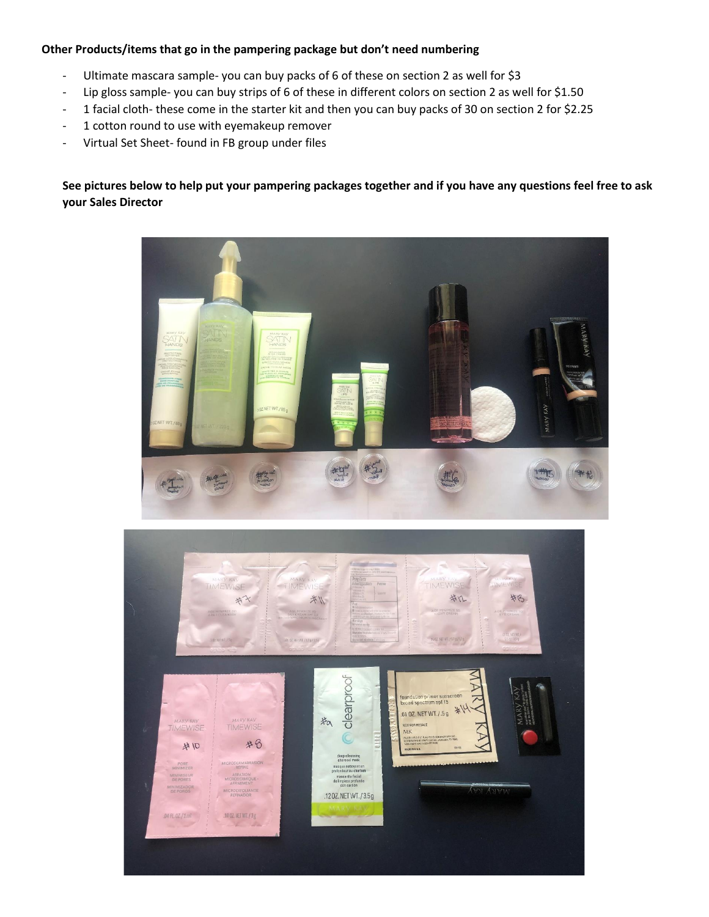## **Other Products/items that go in the pampering package but don't need numbering**

- Ultimate mascara sample- you can buy packs of 6 of these on section 2 as well for \$3
- Lip gloss sample- you can buy strips of 6 of these in different colors on section 2 as well for \$1.50
- 1 facial cloth- these come in the starter kit and then you can buy packs of 30 on section 2 for \$2.25
- 1 cotton round to use with eyemakeup remover
- Virtual Set Sheet- found in FB group under files

**See pictures below to help put your pampering packages together and if you have any questions feel free to ask your Sales Director**